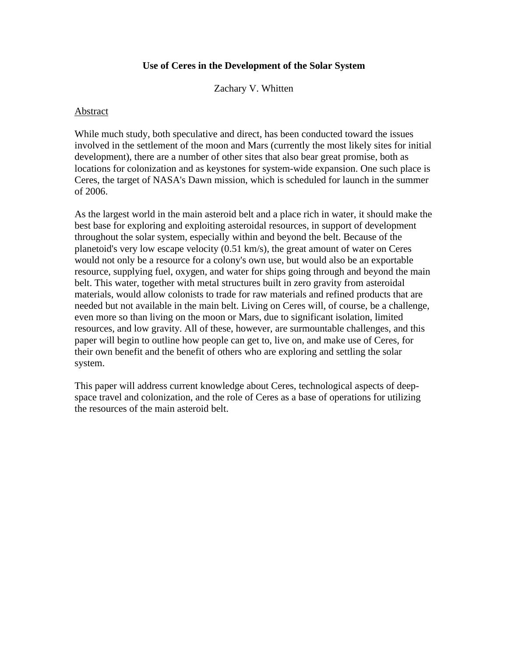## **Use of Ceres in the Development of the Solar System**

Zachary V. Whitten

#### Abstract

While much study, both speculative and direct, has been conducted toward the issues involved in the settlement of the moon and Mars (currently the most likely sites for initial development), there are a number of other sites that also bear great promise, both as locations for colonization and as keystones for system-wide expansion. One such place is Ceres, the target of NASA's Dawn mission, which is scheduled for launch in the summer of 2006.

As the largest world in the main asteroid belt and a place rich in water, it should make the best base for exploring and exploiting asteroidal resources, in support of development throughout the solar system, especially within and beyond the belt. Because of the planetoid's very low escape velocity (0.51 km/s), the great amount of water on Ceres would not only be a resource for a colony's own use, but would also be an exportable resource, supplying fuel, oxygen, and water for ships going through and beyond the main belt. This water, together with metal structures built in zero gravity from asteroidal materials, would allow colonists to trade for raw materials and refined products that are needed but not available in the main belt. Living on Ceres will, of course, be a challenge, even more so than living on the moon or Mars, due to significant isolation, limited resources, and low gravity. All of these, however, are surmountable challenges, and this paper will begin to outline how people can get to, live on, and make use of Ceres, for their own benefit and the benefit of others who are exploring and settling the solar system.

This paper will address current knowledge about Ceres, technological aspects of deepspace travel and colonization, and the role of Ceres as a base of operations for utilizing the resources of the main asteroid belt.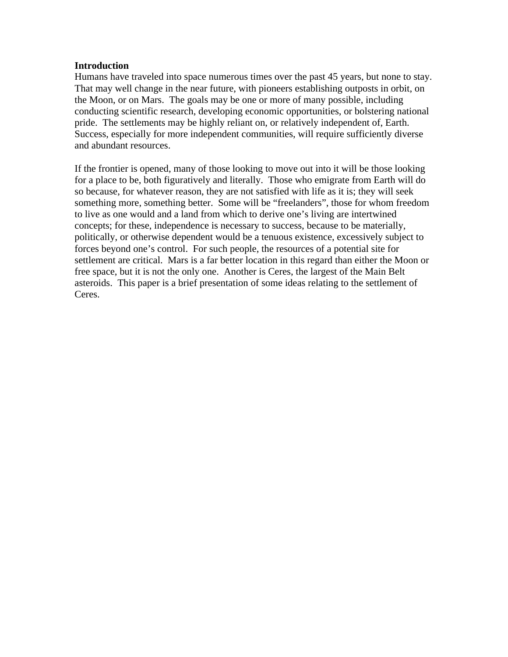### **Introduction**

Humans have traveled into space numerous times over the past 45 years, but none to stay. That may well change in the near future, with pioneers establishing outposts in orbit, on the Moon, or on Mars. The goals may be one or more of many possible, including conducting scientific research, developing economic opportunities, or bolstering national pride. The settlements may be highly reliant on, or relatively independent of, Earth. Success, especially for more independent communities, will require sufficiently diverse and abundant resources.

If the frontier is opened, many of those looking to move out into it will be those looking for a place to be, both figuratively and literally. Those who emigrate from Earth will do so because, for whatever reason, they are not satisfied with life as it is; they will seek something more, something better. Some will be "freelanders", those for whom freedom to live as one would and a land from which to derive one's living are intertwined concepts; for these, independence is necessary to success, because to be materially, politically, or otherwise dependent would be a tenuous existence, excessively subject to forces beyond one's control. For such people, the resources of a potential site for settlement are critical. Mars is a far better location in this regard than either the Moon or free space, but it is not the only one. Another is Ceres, the largest of the Main Belt asteroids. This paper is a brief presentation of some ideas relating to the settlement of Ceres.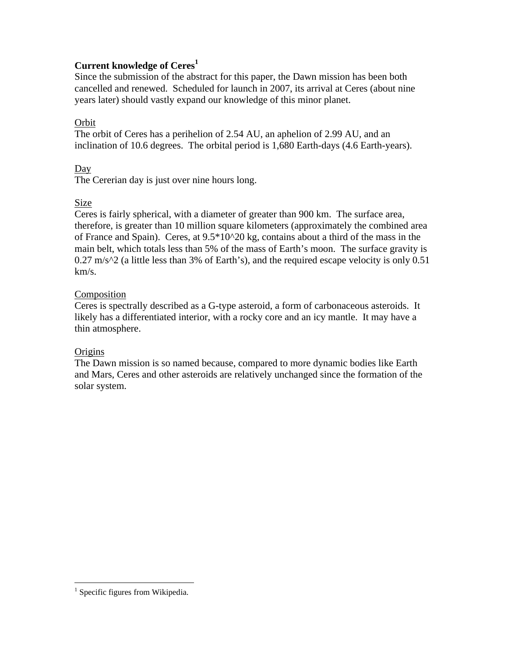# **Current knowledge of Ceres1**

Since the submission of the abstract for this paper, the Dawn mission has been both cancelled and renewed. Scheduled for launch in 2007, its arrival at Ceres (about nine years later) should vastly expand our knowledge of this minor planet.

# Orbit

The orbit of Ceres has a perihelion of 2.54 AU, an aphelion of 2.99 AU, and an inclination of 10.6 degrees. The orbital period is 1,680 Earth-days (4.6 Earth-years).

# Day

The Cererian day is just over nine hours long.

# Size

Ceres is fairly spherical, with a diameter of greater than 900 km. The surface area, therefore, is greater than 10 million square kilometers (approximately the combined area of France and Spain). Ceres, at  $9.5*10^{\circ}20$  kg, contains about a third of the mass in the main belt, which totals less than 5% of the mass of Earth's moon. The surface gravity is  $0.27 \text{ m/s}^2$  (a little less than 3% of Earth's), and the required escape velocity is only 0.51 km/s.

# Composition

Ceres is spectrally described as a G-type asteroid, a form of carbonaceous asteroids. It likely has a differentiated interior, with a rocky core and an icy mantle. It may have a thin atmosphere.

# **Origins**

The Dawn mission is so named because, compared to more dynamic bodies like Earth and Mars, Ceres and other asteroids are relatively unchanged since the formation of the solar system.

 $\overline{a}$ 

<sup>&</sup>lt;sup>1</sup> Specific figures from Wikipedia.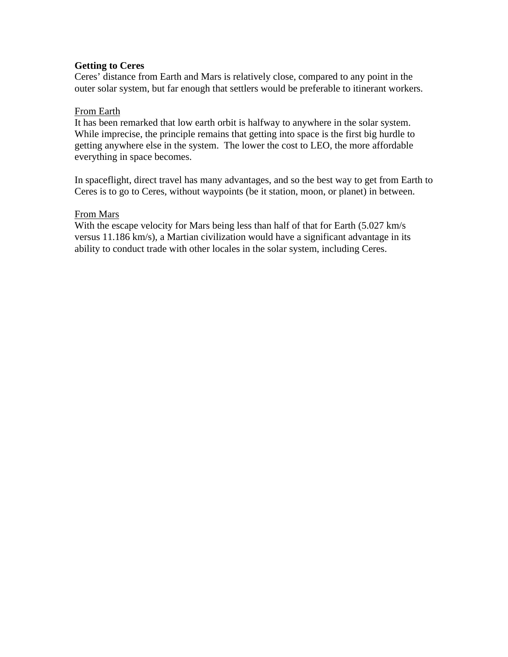### **Getting to Ceres**

Ceres' distance from Earth and Mars is relatively close, compared to any point in the outer solar system, but far enough that settlers would be preferable to itinerant workers.

### From Earth

It has been remarked that low earth orbit is halfway to anywhere in the solar system. While imprecise, the principle remains that getting into space is the first big hurdle to getting anywhere else in the system. The lower the cost to LEO, the more affordable everything in space becomes.

In spaceflight, direct travel has many advantages, and so the best way to get from Earth to Ceres is to go to Ceres, without waypoints (be it station, moon, or planet) in between.

### From Mars

With the escape velocity for Mars being less than half of that for Earth (5.027 km/s) versus 11.186 km/s), a Martian civilization would have a significant advantage in its ability to conduct trade with other locales in the solar system, including Ceres.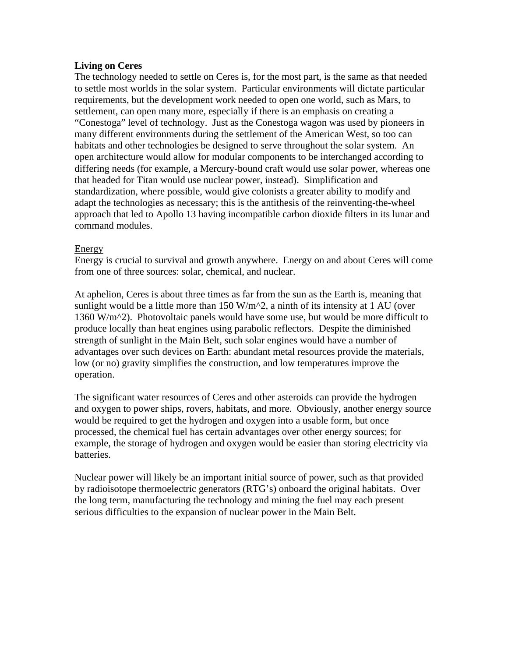### **Living on Ceres**

The technology needed to settle on Ceres is, for the most part, is the same as that needed to settle most worlds in the solar system. Particular environments will dictate particular requirements, but the development work needed to open one world, such as Mars, to settlement, can open many more, especially if there is an emphasis on creating a "Conestoga" level of technology. Just as the Conestoga wagon was used by pioneers in many different environments during the settlement of the American West, so too can habitats and other technologies be designed to serve throughout the solar system. An open architecture would allow for modular components to be interchanged according to differing needs (for example, a Mercury-bound craft would use solar power, whereas one that headed for Titan would use nuclear power, instead). Simplification and standardization, where possible, would give colonists a greater ability to modify and adapt the technologies as necessary; this is the antithesis of the reinventing-the-wheel approach that led to Apollo 13 having incompatible carbon dioxide filters in its lunar and command modules.

### Energy

Energy is crucial to survival and growth anywhere. Energy on and about Ceres will come from one of three sources: solar, chemical, and nuclear.

At aphelion, Ceres is about three times as far from the sun as the Earth is, meaning that sunlight would be a little more than  $150 \text{ W/m}^2$ , a ninth of its intensity at 1 AU (over 1360 W/m $\textdegree$ ). Photovoltaic panels would have some use, but would be more difficult to produce locally than heat engines using parabolic reflectors. Despite the diminished strength of sunlight in the Main Belt, such solar engines would have a number of advantages over such devices on Earth: abundant metal resources provide the materials, low (or no) gravity simplifies the construction, and low temperatures improve the operation.

The significant water resources of Ceres and other asteroids can provide the hydrogen and oxygen to power ships, rovers, habitats, and more. Obviously, another energy source would be required to get the hydrogen and oxygen into a usable form, but once processed, the chemical fuel has certain advantages over other energy sources; for example, the storage of hydrogen and oxygen would be easier than storing electricity via batteries.

Nuclear power will likely be an important initial source of power, such as that provided by radioisotope thermoelectric generators (RTG's) onboard the original habitats. Over the long term, manufacturing the technology and mining the fuel may each present serious difficulties to the expansion of nuclear power in the Main Belt.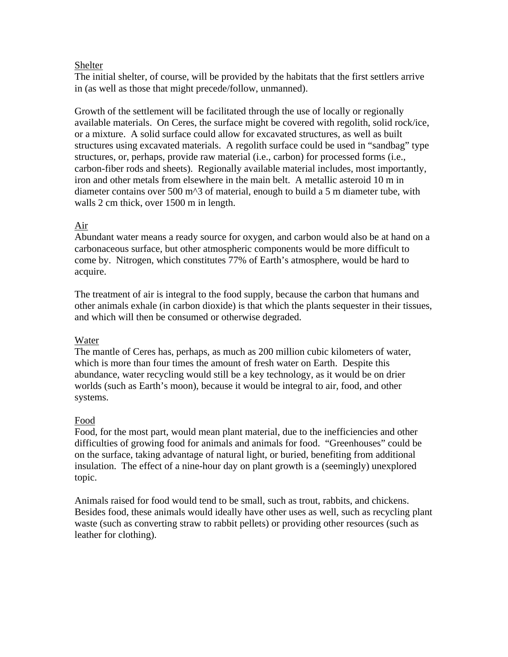### Shelter

The initial shelter, of course, will be provided by the habitats that the first settlers arrive in (as well as those that might precede/follow, unmanned).

Growth of the settlement will be facilitated through the use of locally or regionally available materials. On Ceres, the surface might be covered with regolith, solid rock/ice, or a mixture. A solid surface could allow for excavated structures, as well as built structures using excavated materials. A regolith surface could be used in "sandbag" type structures, or, perhaps, provide raw material (i.e., carbon) for processed forms (i.e., carbon-fiber rods and sheets). Regionally available material includes, most importantly, iron and other metals from elsewhere in the main belt. A metallic asteroid 10 m in diameter contains over 500 m^3 of material, enough to build a 5 m diameter tube, with walls 2 cm thick, over 1500 m in length.

# Air

Abundant water means a ready source for oxygen, and carbon would also be at hand on a carbonaceous surface, but other atmospheric components would be more difficult to come by. Nitrogen, which constitutes 77% of Earth's atmosphere, would be hard to acquire.

The treatment of air is integral to the food supply, because the carbon that humans and other animals exhale (in carbon dioxide) is that which the plants sequester in their tissues, and which will then be consumed or otherwise degraded.

# Water

The mantle of Ceres has, perhaps, as much as 200 million cubic kilometers of water, which is more than four times the amount of fresh water on Earth. Despite this abundance, water recycling would still be a key technology, as it would be on drier worlds (such as Earth's moon), because it would be integral to air, food, and other systems.

# Food

Food, for the most part, would mean plant material, due to the inefficiencies and other difficulties of growing food for animals and animals for food. "Greenhouses" could be on the surface, taking advantage of natural light, or buried, benefiting from additional insulation. The effect of a nine-hour day on plant growth is a (seemingly) unexplored topic.

Animals raised for food would tend to be small, such as trout, rabbits, and chickens. Besides food, these animals would ideally have other uses as well, such as recycling plant waste (such as converting straw to rabbit pellets) or providing other resources (such as leather for clothing).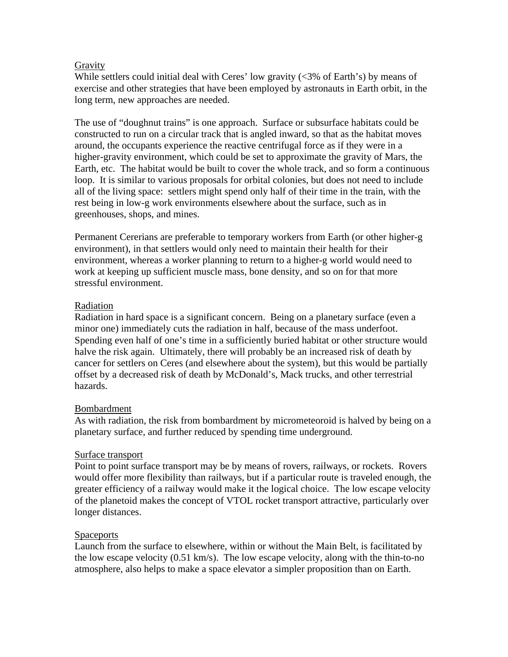### **Gravity**

While settlers could initial deal with Ceres' low gravity (<3% of Earth's) by means of exercise and other strategies that have been employed by astronauts in Earth orbit, in the long term, new approaches are needed.

The use of "doughnut trains" is one approach. Surface or subsurface habitats could be constructed to run on a circular track that is angled inward, so that as the habitat moves around, the occupants experience the reactive centrifugal force as if they were in a higher-gravity environment, which could be set to approximate the gravity of Mars, the Earth, etc. The habitat would be built to cover the whole track, and so form a continuous loop. It is similar to various proposals for orbital colonies, but does not need to include all of the living space: settlers might spend only half of their time in the train, with the rest being in low-g work environments elsewhere about the surface, such as in greenhouses, shops, and mines.

Permanent Cererians are preferable to temporary workers from Earth (or other higher-g environment), in that settlers would only need to maintain their health for their environment, whereas a worker planning to return to a higher-g world would need to work at keeping up sufficient muscle mass, bone density, and so on for that more stressful environment.

## Radiation

Radiation in hard space is a significant concern. Being on a planetary surface (even a minor one) immediately cuts the radiation in half, because of the mass underfoot. Spending even half of one's time in a sufficiently buried habitat or other structure would halve the risk again. Ultimately, there will probably be an increased risk of death by cancer for settlers on Ceres (and elsewhere about the system), but this would be partially offset by a decreased risk of death by McDonald's, Mack trucks, and other terrestrial hazards.

# Bombardment

As with radiation, the risk from bombardment by micrometeoroid is halved by being on a planetary surface, and further reduced by spending time underground.

### Surface transport

Point to point surface transport may be by means of rovers, railways, or rockets. Rovers would offer more flexibility than railways, but if a particular route is traveled enough, the greater efficiency of a railway would make it the logical choice. The low escape velocity of the planetoid makes the concept of VTOL rocket transport attractive, particularly over longer distances.

# Spaceports

Launch from the surface to elsewhere, within or without the Main Belt, is facilitated by the low escape velocity (0.51 km/s). The low escape velocity, along with the thin-to-no atmosphere, also helps to make a space elevator a simpler proposition than on Earth.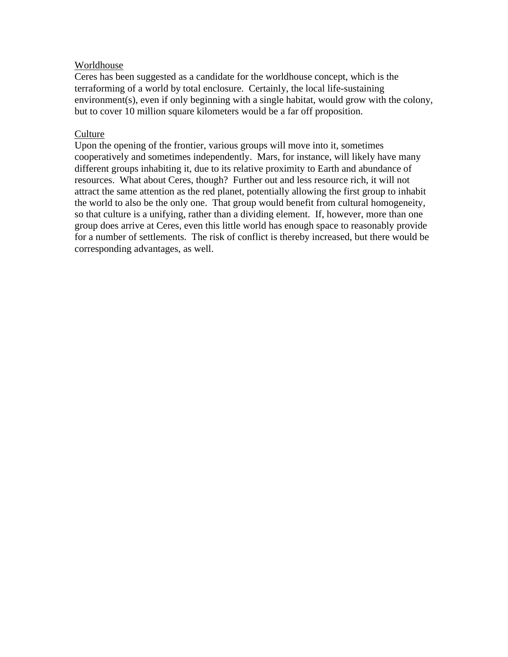### Worldhouse

Ceres has been suggested as a candidate for the worldhouse concept, which is the terraforming of a world by total enclosure. Certainly, the local life-sustaining environment(s), even if only beginning with a single habitat, would grow with the colony, but to cover 10 million square kilometers would be a far off proposition.

### **Culture**

Upon the opening of the frontier, various groups will move into it, sometimes cooperatively and sometimes independently. Mars, for instance, will likely have many different groups inhabiting it, due to its relative proximity to Earth and abundance of resources. What about Ceres, though? Further out and less resource rich, it will not attract the same attention as the red planet, potentially allowing the first group to inhabit the world to also be the only one. That group would benefit from cultural homogeneity, so that culture is a unifying, rather than a dividing element. If, however, more than one group does arrive at Ceres, even this little world has enough space to reasonably provide for a number of settlements. The risk of conflict is thereby increased, but there would be corresponding advantages, as well.